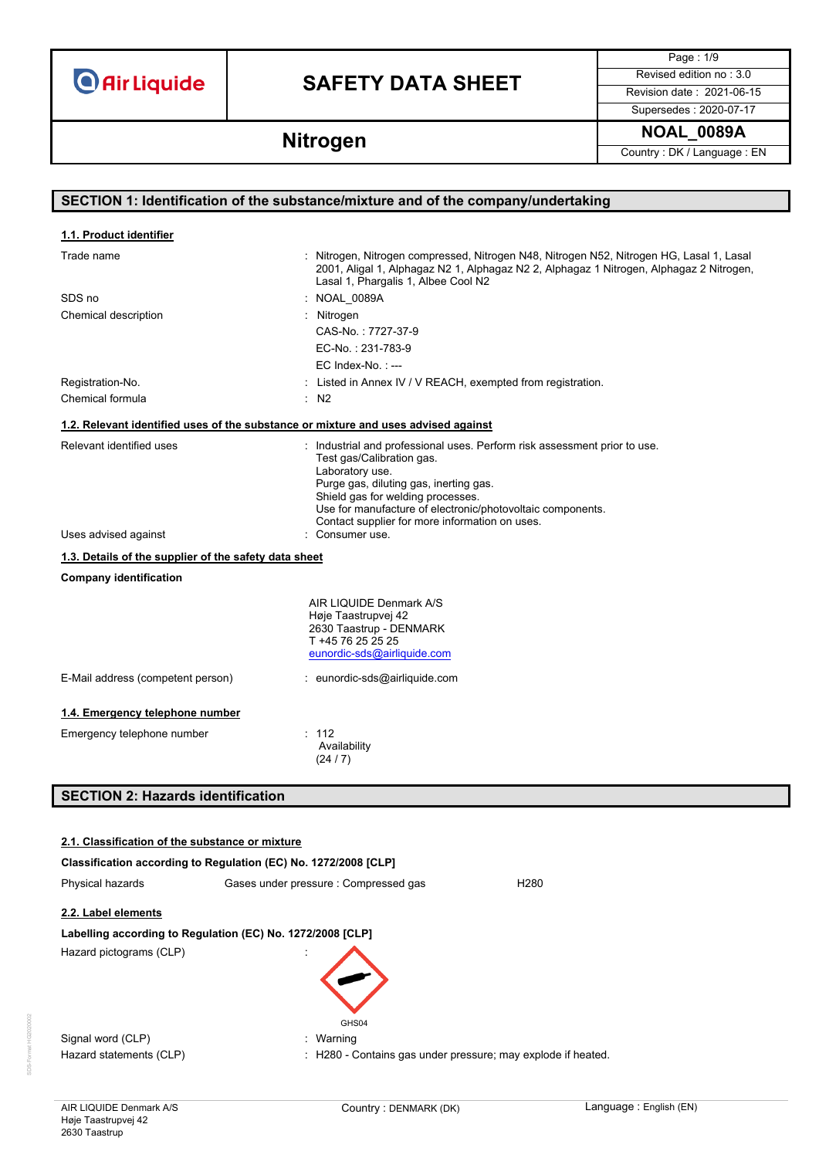## **SAFETY DATA SHEET** Revised edition no : 3.0

Page : 1/9

Supersedes : 2020-07-17

**Nitrogen** NoAL\_0089A **NOAL\_0089A** 

## **SECTION 1: Identification of the substance/mixture and of the company/undertaking** Trade name **in the state of the Compressed, Nitrogen N48, Nitrogen N52, Nitrogen HG, Lasal 1, Lasal 1**, Lasal 2001, Aligal 1, Alphagaz N2 1, Alphagaz N2 2, Alphagaz 1 Nitrogen, Alphagaz 2 Nitrogen, Lasal 1, Phargalis 1, Albee Cool N2 SDS no : NOAL\_0089A Chemical description **in the contract of the Chemical description**  $\cdot$  Nitrogen CAS-No. : 7727-37-9 EC-No. : 231-783-9 EC Index-No.: ---Registration-No. **In a construct in Annex IV / V REACH, exempted from registration.** Chemical formula : N2 Relevant identified uses **industrial and professional uses**. Perform risk assessment prior to use. Test gas/Calibration gas. Laboratory use. Purge gas, diluting gas, inerting gas. Shield gas for welding processes. Use for manufacture of electronic/photovoltaic components. Contact supplier for more information on uses. Uses advised against **interest in the USE** on Sumer use. **Company identification** AIR LIQUIDE Denmark A/S Høje Taastrupvej 42 2630 Taastrup - DENMARK T +45 76 25 25 25 [eunordic-sds@airliquide.com](mailto:eunordic-sds@airliquide.com) E-Mail address (competent person) : eunordic-sds@airliquide.com **1.4. Emergency telephone number** Emergency telephone number : 112 Availability (24 / 7) **SECTION 2: Hazards identification Classification according to Regulation (EC) No. 1272/2008 [CLP]** Physical hazards Gases under pressure : Compressed gas H280 **2.2. Label elements Labelling according to Regulation (EC) No. 1272/2008 [CLP]** Hazard pictograms (CLP) : **1.1. Product identifier 1.2. Relevant identified uses of the substance or mixture and uses advised against 1.3. Details of the supplier of the safety data sheet 2.1. Classification of the substance or mixture**



Signal word (CLP) : Warning

Hazard statements (CLP) : H280 - Contains gas under pressure; may explode if heated.

GHS<sub>04</sub>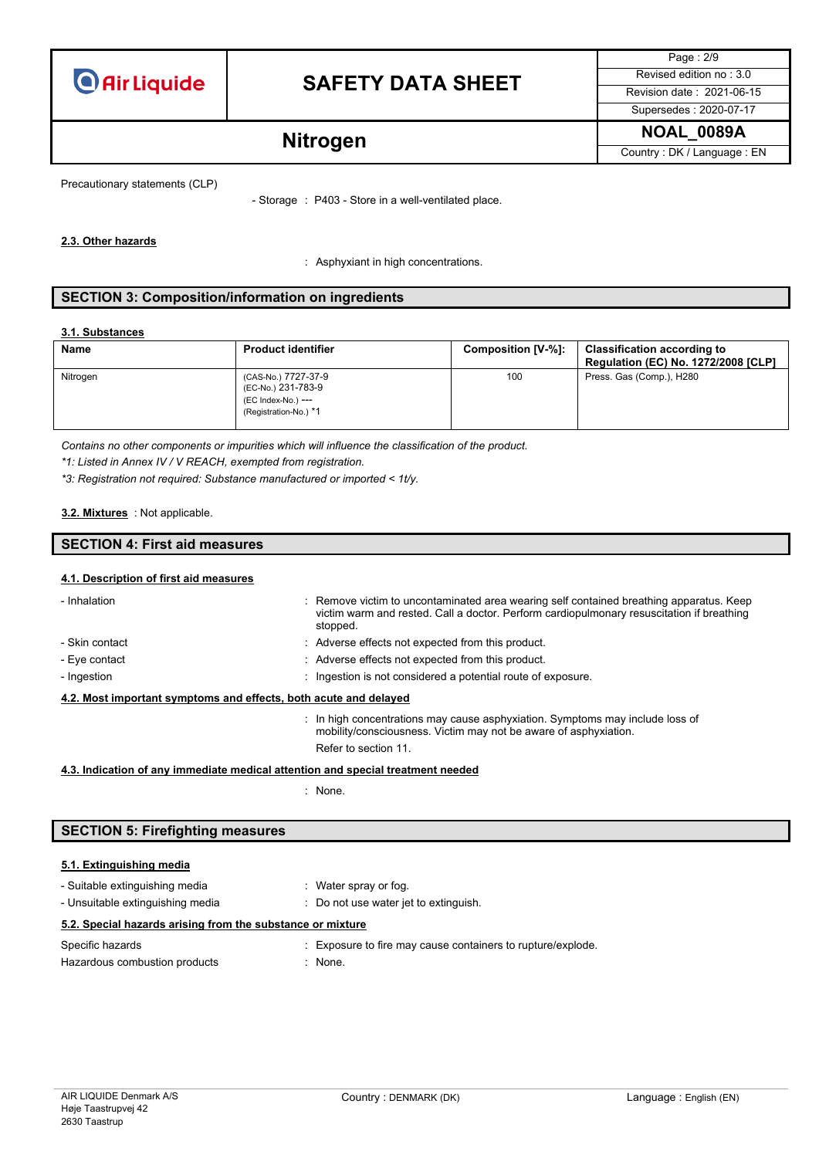

# **SAFETY DATA SHEET** Revised edition no : 3.0

Page : 2/9 Supersedes : 2020-07-17

**Nitrogen** NoAL\_0089A **NOAL\_0089A** 

Precautionary statements (CLP)

- Storage : P403 - Store in a well-ventilated place.

### **2.3. Other hazards**

: Asphyxiant in high concentrations.

### **SECTION 3: Composition/information on ingredients**

### **3.1. Substances**

| <b>Name</b> | <b>Product identifier</b>                                                                | Composition [V-%]: | <b>Classification according to</b><br><b>Regulation (EC) No. 1272/2008 [CLP]</b> |
|-------------|------------------------------------------------------------------------------------------|--------------------|----------------------------------------------------------------------------------|
| Nitrogen    | (CAS-No.) 7727-37-9<br>(EC-No.) 231-783-9<br>(EC Index-No.) ---<br>(Registration-No.) *1 | 100                | Press. Gas (Comp.), H280                                                         |

*Contains no other components or impurities which will influence the classification of the product.*

*\*1: Listed in Annex IV / V REACH, exempted from registration.*

*\*3: Registration not required: Substance manufactured or imported < 1t/y.*

### : Not applicable. **3.2. Mixtures**

## **SECTION 4: First aid measures**

### **4.1. Description of first aid measures**

| - Inhalation                                                     | : Remove victim to uncontaminated area wearing self contained breathing apparatus. Keep<br>victim warm and rested. Call a doctor. Perform cardiopulmonary resuscitation if breathing<br>stopped. |
|------------------------------------------------------------------|--------------------------------------------------------------------------------------------------------------------------------------------------------------------------------------------------|
| - Skin contact                                                   | : Adverse effects not expected from this product.                                                                                                                                                |
| - Eye contact                                                    | : Adverse effects not expected from this product.                                                                                                                                                |
| - Ingestion                                                      | : Ingestion is not considered a potential route of exposure.                                                                                                                                     |
| 4.2. Most important symptoms and effects, both acute and delayed |                                                                                                                                                                                                  |
|                                                                  | : In high concentrations may cause asphyxiation. Symptoms may include loss of<br>mobility/consciousness. Victim may not be aware of asphyxiation.                                                |
|                                                                  | Refer to section 11.                                                                                                                                                                             |

### **4.3. Indication of any immediate medical attention and special treatment needed**

: None.

## **SECTION 5: Firefighting measures**

### **5.1. Extinguishing media**

| - Suitable extinguishing media | : Water spray or fog. |
|--------------------------------|-----------------------|

| - Unsuitable extinguishing media                           | Do not use water jet to extinguish. |                                                             |  |
|------------------------------------------------------------|-------------------------------------|-------------------------------------------------------------|--|
| 5.2. Special hazards arising from the substance or mixture |                                     |                                                             |  |
| Specific hazards                                           |                                     | : Exposure to fire may cause containers to rupture/explode. |  |

| Hazardous combustion products | : None. |
|-------------------------------|---------|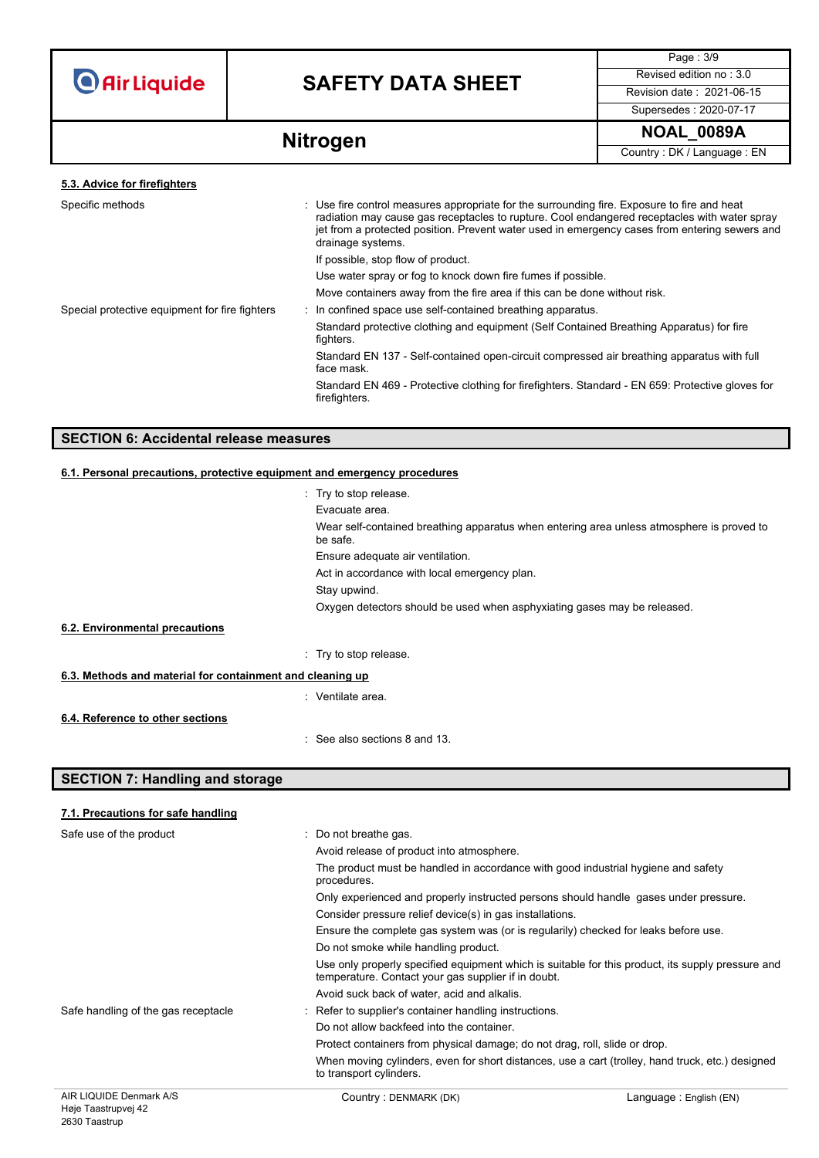

# **SAFETY DATA SHEET** Revised edition no : 3.0

Page : 3/9 Supersedes : 2020-07-17

**Nitrogen** NoAL\_0089A **NOAL\_0089A** 

| Specific methods                               | : Use fire control measures appropriate for the surrounding fire. Exposure to fire and heat<br>radiation may cause gas receptacles to rupture. Cool endangered receptacles with water spray<br>jet from a protected position. Prevent water used in emergency cases from entering sewers and<br>drainage systems. |  |
|------------------------------------------------|-------------------------------------------------------------------------------------------------------------------------------------------------------------------------------------------------------------------------------------------------------------------------------------------------------------------|--|
|                                                | If possible, stop flow of product.                                                                                                                                                                                                                                                                                |  |
|                                                | Use water spray or fog to knock down fire fumes if possible.                                                                                                                                                                                                                                                      |  |
|                                                | Move containers away from the fire area if this can be done without risk.                                                                                                                                                                                                                                         |  |
| Special protective equipment for fire fighters | : In confined space use self-contained breathing apparatus.                                                                                                                                                                                                                                                       |  |
|                                                | Standard protective clothing and equipment (Self Contained Breathing Apparatus) for fire<br>fighters.                                                                                                                                                                                                             |  |
|                                                | Standard EN 137 - Self-contained open-circuit compressed air breathing apparatus with full<br>face mask.                                                                                                                                                                                                          |  |
|                                                | Standard EN 469 - Protective clothing for firefighters. Standard - EN 659: Protective gloves for<br>firefighters.                                                                                                                                                                                                 |  |
|                                                |                                                                                                                                                                                                                                                                                                                   |  |

### **SECTION 6: Accidental release measures**

### **6.1. Personal precautions, protective equipment and emergency procedures**

|                                                           | : Try to stop release.                                                                                |
|-----------------------------------------------------------|-------------------------------------------------------------------------------------------------------|
|                                                           | Evacuate area.                                                                                        |
|                                                           | Wear self-contained breathing apparatus when entering area unless atmosphere is proved to<br>be safe. |
|                                                           | Ensure adequate air ventilation.                                                                      |
|                                                           | Act in accordance with local emergency plan.                                                          |
|                                                           | Stay upwind.                                                                                          |
|                                                           | Oxygen detectors should be used when asphyxiating gases may be released.                              |
| 6.2. Environmental precautions                            |                                                                                                       |
|                                                           | : Try to stop release.                                                                                |
| 6.3. Methods and material for containment and cleaning up |                                                                                                       |
|                                                           | : Ventilate area.                                                                                     |
| 6.4. Reference to other sections                          |                                                                                                       |
|                                                           | See also sections 8 and 13.                                                                           |

### **SECTION 7: Handling and storage**

| 7.1. Precautions for safe handling |  |  |
|------------------------------------|--|--|
|                                    |  |  |

| Safe use of the product             | : Do not breathe gas.                                                                                                                                    |                         |  |
|-------------------------------------|----------------------------------------------------------------------------------------------------------------------------------------------------------|-------------------------|--|
|                                     | Avoid release of product into atmosphere.                                                                                                                |                         |  |
|                                     | The product must be handled in accordance with good industrial hygiene and safety<br>procedures.                                                         |                         |  |
|                                     | Only experienced and properly instructed persons should handle gases under pressure.                                                                     |                         |  |
|                                     | Consider pressure relief device(s) in gas installations.                                                                                                 |                         |  |
|                                     | Ensure the complete gas system was (or is regularily) checked for leaks before use.                                                                      |                         |  |
|                                     | Do not smoke while handling product.                                                                                                                     |                         |  |
|                                     | Use only properly specified equipment which is suitable for this product, its supply pressure and<br>temperature. Contact your gas supplier if in doubt. |                         |  |
|                                     | Avoid suck back of water, acid and alkalis.                                                                                                              |                         |  |
| Safe handling of the gas receptacle | : Refer to supplier's container handling instructions.                                                                                                   |                         |  |
|                                     | Do not allow backfeed into the container.                                                                                                                |                         |  |
|                                     | Protect containers from physical damage; do not drag, roll, slide or drop.                                                                               |                         |  |
|                                     | When moving cylinders, even for short distances, use a cart (trolley, hand truck, etc.) designed<br>to transport cylinders.                              |                         |  |
| AIR LIQUIDE Denmark A/S             | Country: DENMARK (DK)                                                                                                                                    | Language : English (EN) |  |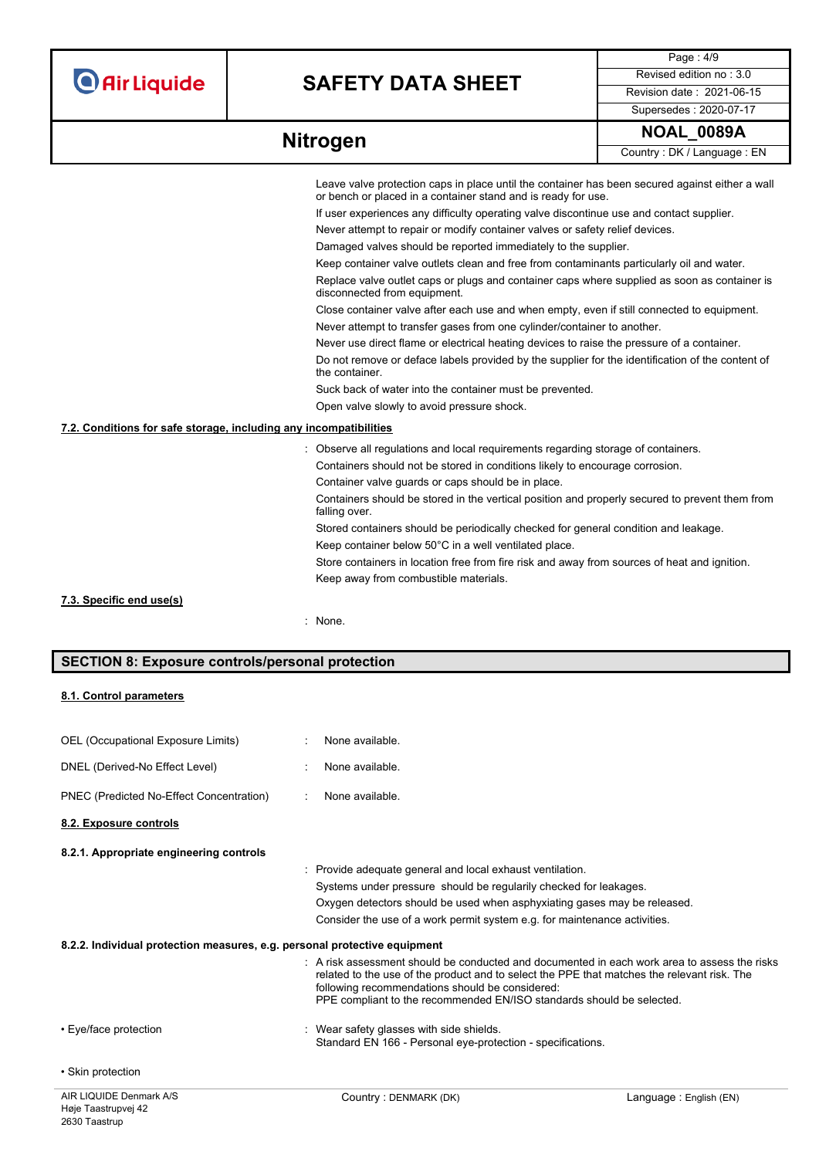# **SAFETY DATA SHEET** Revised edition no : 3.0

Page : 4/9 Supersedes : 2020-07-17

|                                                                   | Leave valve protection caps in place until the container has been secured against either a wall<br>or bench or placed in a container stand and is ready for use. |
|-------------------------------------------------------------------|------------------------------------------------------------------------------------------------------------------------------------------------------------------|
|                                                                   | If user experiences any difficulty operating valve discontinue use and contact supplier.                                                                         |
|                                                                   | Never attempt to repair or modify container valves or safety relief devices.                                                                                     |
|                                                                   | Damaged valves should be reported immediately to the supplier.                                                                                                   |
|                                                                   | Keep container valve outlets clean and free from contaminants particularly oil and water.                                                                        |
|                                                                   | Replace valve outlet caps or plugs and container caps where supplied as soon as container is<br>disconnected from equipment.                                     |
|                                                                   | Close container valve after each use and when empty, even if still connected to equipment.                                                                       |
|                                                                   | Never attempt to transfer gases from one cylinder/container to another.                                                                                          |
|                                                                   | Never use direct flame or electrical heating devices to raise the pressure of a container.                                                                       |
|                                                                   | Do not remove or deface labels provided by the supplier for the identification of the content of<br>the container.                                               |
|                                                                   | Suck back of water into the container must be prevented.                                                                                                         |
|                                                                   | Open valve slowly to avoid pressure shock.                                                                                                                       |
| 7.2. Conditions for safe storage, including any incompatibilities |                                                                                                                                                                  |
|                                                                   | : Observe all regulations and local requirements regarding storage of containers.                                                                                |
|                                                                   | Containers should not be stored in conditions likely to encourage corrosion.                                                                                     |
|                                                                   | Container valve guards or caps should be in place.                                                                                                               |
|                                                                   | Containers should be stored in the vertical position and properly secured to prevent them from<br>falling over.                                                  |
|                                                                   | Stored containers should be periodically checked for general condition and leakage.                                                                              |
|                                                                   | Keep container below 50°C in a well ventilated place.                                                                                                            |
|                                                                   | Store containers in location free from fire risk and away from sources of heat and ignition.                                                                     |
|                                                                   | Keep away from combustible materials.                                                                                                                            |
| 7.3. Specific end use(s)                                          |                                                                                                                                                                  |
|                                                                   | $:$ None.                                                                                                                                                        |
|                                                                   |                                                                                                                                                                  |

### **SECTION 8: Exposure controls/personal protection**

### **8.1. Control parameters**

| AIR LIQUIDE Denmark A/S                                                   | Country: DENMARK (DK)                                                                                                                                                                                                   | Language: English (EN)                                                                     |
|---------------------------------------------------------------------------|-------------------------------------------------------------------------------------------------------------------------------------------------------------------------------------------------------------------------|--------------------------------------------------------------------------------------------|
| • Skin protection                                                         |                                                                                                                                                                                                                         |                                                                                            |
| • Eye/face protection                                                     | : Wear safety glasses with side shields.<br>Standard EN 166 - Personal eye-protection - specifications.                                                                                                                 |                                                                                            |
| 8.2.2. Individual protection measures, e.g. personal protective equipment | related to the use of the product and to select the PPE that matches the relevant risk. The<br>following recommendations should be considered:<br>PPE compliant to the recommended EN/ISO standards should be selected. | A risk assessment should be conducted and documented in each work area to assess the risks |
|                                                                           |                                                                                                                                                                                                                         |                                                                                            |
|                                                                           | Oxygen detectors should be used when asphyxiating gases may be released.<br>Consider the use of a work permit system e.g. for maintenance activities.                                                                   |                                                                                            |
|                                                                           | Systems under pressure should be regularily checked for leakages.                                                                                                                                                       |                                                                                            |
|                                                                           | Provide adequate general and local exhaust ventilation.                                                                                                                                                                 |                                                                                            |
| 8.2.1. Appropriate engineering controls                                   |                                                                                                                                                                                                                         |                                                                                            |
| 8.2. Exposure controls                                                    |                                                                                                                                                                                                                         |                                                                                            |
| PNEC (Predicted No-Effect Concentration)                                  | None available.<br>÷                                                                                                                                                                                                    |                                                                                            |
| DNEL (Derived-No Effect Level)                                            | None available.                                                                                                                                                                                                         |                                                                                            |
| OEL (Occupational Exposure Limits)                                        | None available.                                                                                                                                                                                                         |                                                                                            |
|                                                                           |                                                                                                                                                                                                                         |                                                                                            |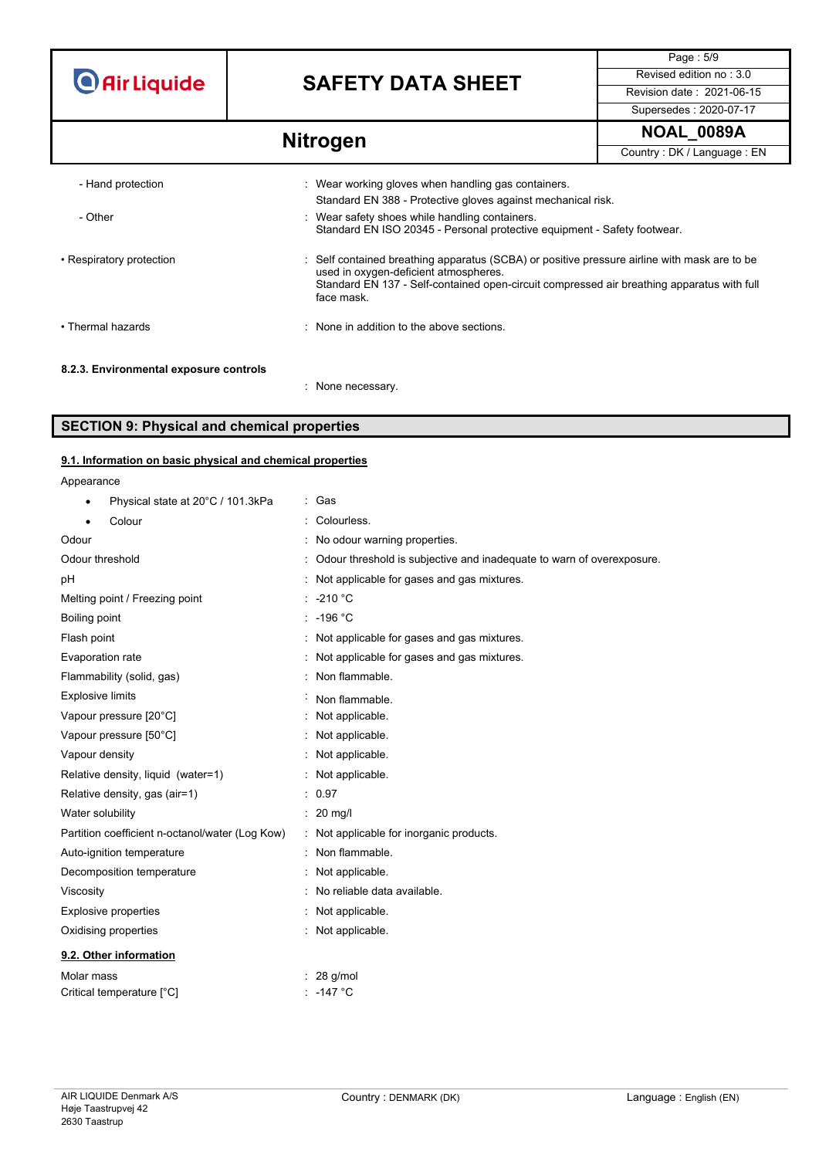# **SAFETY DATA SHEET** Revised edition no : 3.0

Page : 5/9 Supersedes : 2020-07-17

# **Nitrogen** NoAL\_0089A **NOAL\_0089A**

| - Hand protection                      | : Wear working gloves when handling gas containers.<br>Standard EN 388 - Protective gloves against mechanical risk.                                                                                                                             |
|----------------------------------------|-------------------------------------------------------------------------------------------------------------------------------------------------------------------------------------------------------------------------------------------------|
| - Other                                | Wear safety shoes while handling containers.<br>Standard EN ISO 20345 - Personal protective equipment - Safety footwear.                                                                                                                        |
| • Respiratory protection               | Self contained breathing apparatus (SCBA) or positive pressure airline with mask are to be<br>used in oxygen-deficient atmospheres.<br>Standard EN 137 - Self-contained open-circuit compressed air breathing apparatus with full<br>face mask. |
| • Thermal hazards                      | None in addition to the above sections.                                                                                                                                                                                                         |
| 8.2.3. Environmental exposure controls | None necessary.                                                                                                                                                                                                                                 |

### **SECTION 9: Physical and chemical properties**

### **9.1. Information on basic physical and chemical properties**

Appearance

| Physical state at 20°C / 101.3kPa<br>٠          | : Gas                                                                   |
|-------------------------------------------------|-------------------------------------------------------------------------|
| Colour                                          | : Colourless.                                                           |
| Odour                                           | : No odour warning properties.                                          |
| Odour threshold                                 | : Odour threshold is subjective and inadequate to warn of overexposure. |
| pH                                              | : Not applicable for gases and gas mixtures.                            |
| Melting point / Freezing point                  | $: -210 °C$                                                             |
| Boiling point                                   | $: -196 °C$                                                             |
| Flash point                                     | : Not applicable for gases and gas mixtures.                            |
| Evaporation rate                                | : Not applicable for gases and gas mixtures.                            |
| Flammability (solid, gas)                       | : Non flammable.                                                        |
| <b>Explosive limits</b>                         | Non flammable.                                                          |
| Vapour pressure [20°C]                          | : Not applicable.                                                       |
| Vapour pressure [50°C]                          | : Not applicable.                                                       |
| Vapour density                                  | : Not applicable.                                                       |
| Relative density, liquid (water=1)              | : Not applicable.                                                       |
| Relative density, gas (air=1)                   | : 0.97                                                                  |
| Water solubility                                | $: 20$ mg/                                                              |
| Partition coefficient n-octanol/water (Log Kow) | : Not applicable for inorganic products.                                |
| Auto-ignition temperature                       | : Non flammable.                                                        |
| Decomposition temperature                       | : Not applicable.                                                       |
| Viscosity                                       | : No reliable data available.                                           |
| <b>Explosive properties</b>                     | : Not applicable.                                                       |
| Oxidising properties                            | : Not applicable.                                                       |
| 9.2. Other information                          |                                                                         |
| Molar mass                                      | $: 28$ g/mol                                                            |
| Critical temperature [°C]                       | : -147 °C                                                               |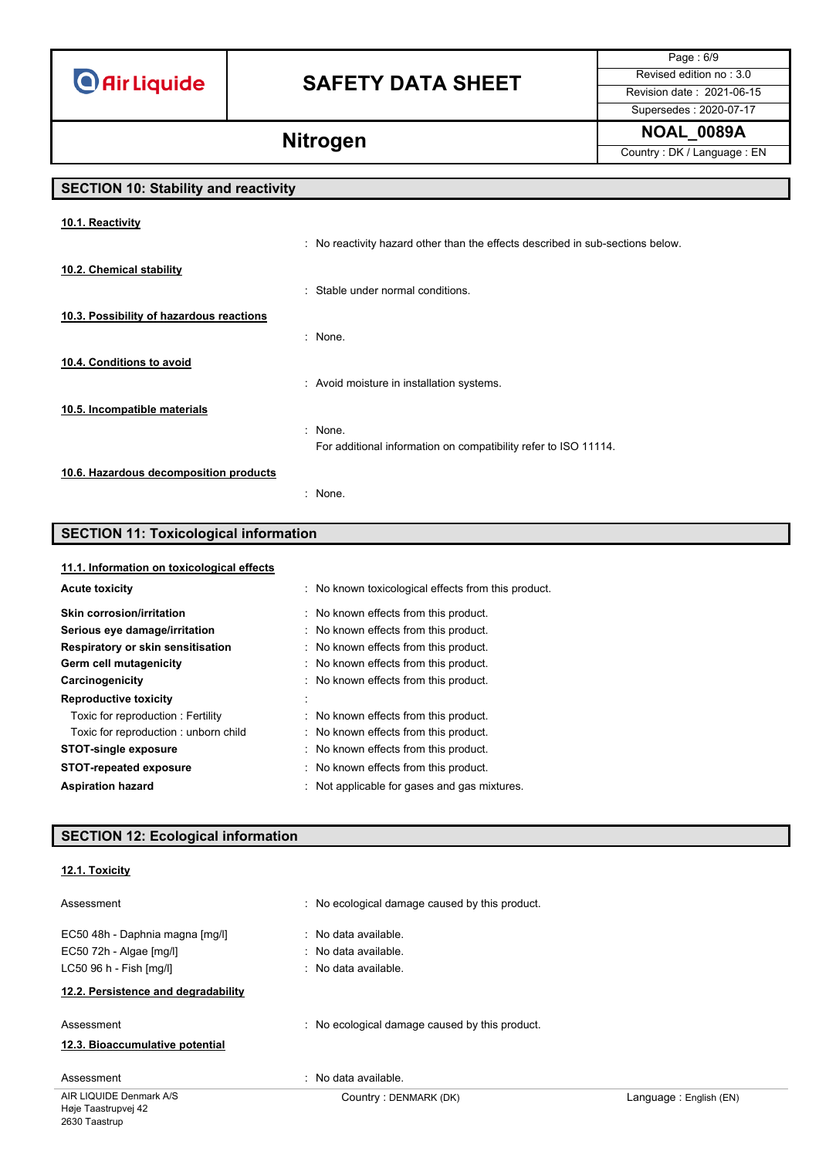# **SAFETY DATA SHEET** Revised edition no : 3.0

Page : 6/9 Supersedes : 2020-07-17

**Nitrogen** NoAL\_0089A **Nitrogen** Country : DK / Language : EN

## **SECTION 10: Stability and reactivity**

| 10.1. Reactivity                         |                                                                                |
|------------------------------------------|--------------------------------------------------------------------------------|
|                                          | : No reactivity hazard other than the effects described in sub-sections below. |
| 10.2. Chemical stability                 |                                                                                |
|                                          | : Stable under normal conditions.                                              |
| 10.3. Possibility of hazardous reactions |                                                                                |
|                                          | : None.                                                                        |
| 10.4. Conditions to avoid                |                                                                                |
|                                          | : Avoid moisture in installation systems.                                      |
| 10.5. Incompatible materials             |                                                                                |
|                                          | $:$ None.                                                                      |
|                                          | For additional information on compatibility refer to ISO 11114.                |
| 10.6. Hazardous decomposition products   |                                                                                |
|                                          | : None.                                                                        |

## **SECTION 11: Toxicological information**

### **11.1. Information on toxicological effects**

| : No known toxicological effects from this product. |
|-----------------------------------------------------|
| No known effects from this product.                 |
| : No known effects from this product.               |
| : No known effects from this product.               |
| : No known effects from this product.               |
| : No known effects from this product.               |
|                                                     |
| : No known effects from this product.               |
| : No known effects from this product.               |
| : No known effects from this product.               |
| : No known effects from this product.               |
| Not applicable for gases and gas mixtures.          |
|                                                     |

## **SECTION 12: Ecological information**

### **12.1. Toxicity**

| Assessment                                                                                | : No ecological damage caused by this product.                       |                        |
|-------------------------------------------------------------------------------------------|----------------------------------------------------------------------|------------------------|
| EC50 48h - Daphnia magna [mg/l]<br>EC50 72h - Algae [mg/l]<br>$LC50$ 96 h - Fish $[mq/l]$ | : No data available.<br>: No data available.<br>: No data available. |                        |
| 12.2. Persistence and degradability                                                       |                                                                      |                        |
| Assessment<br>12.3. Bioaccumulative potential                                             | : No ecological damage caused by this product.                       |                        |
| Assessment                                                                                | : No data available.                                                 |                        |
| AIR LIQUIDE Denmark A/S                                                                   | Country: DENMARK (DK)                                                | Language: English (EN) |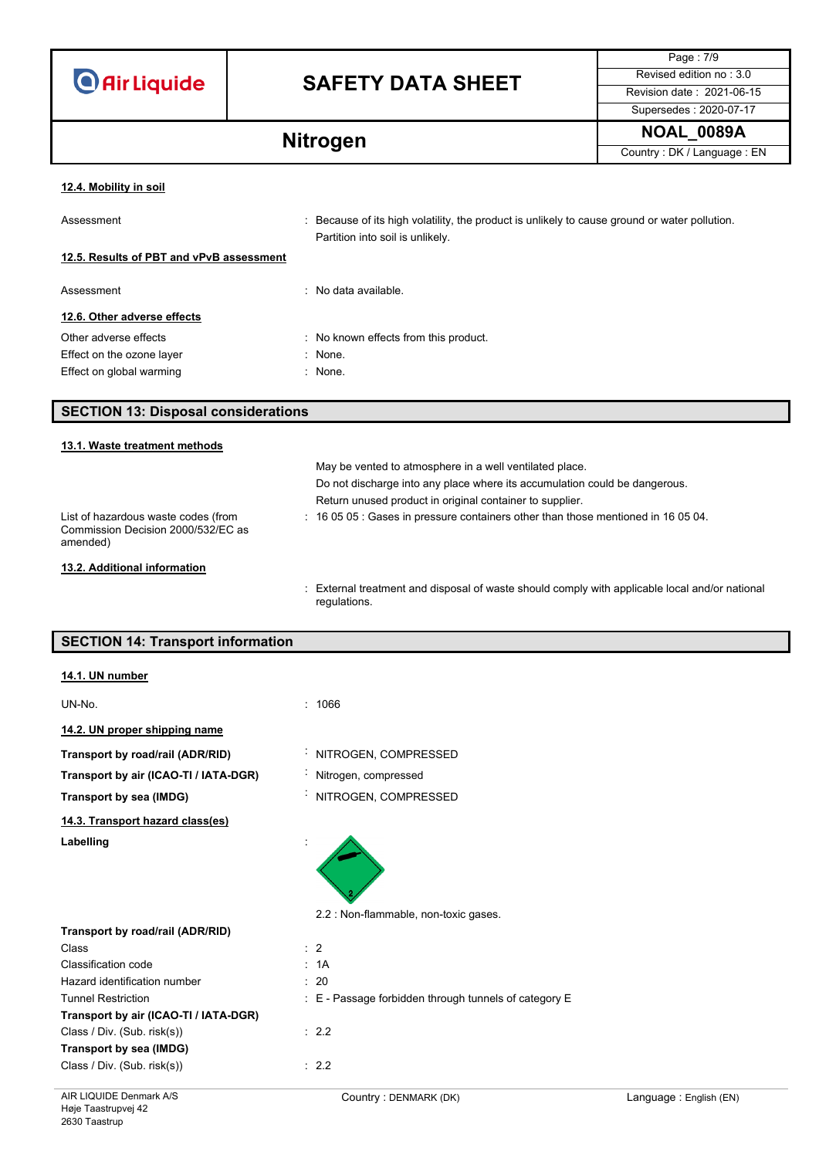|  | <b>O</b> Air Liquide |
|--|----------------------|
|  |                      |

# **SAFETY DATA SHEET** Revised edition no : 3.0

Page : 7/9 Supersedes : 2020-07-17

**Nitrogen** NoAL\_0089A **NOAL\_0089A** 

## **12.4. Mobility in soil**

| Assessment                               | : Because of its high volatility, the product is unlikely to cause ground or water pollution.<br>Partition into soil is unlikely. |
|------------------------------------------|-----------------------------------------------------------------------------------------------------------------------------------|
| 12.5. Results of PBT and vPvB assessment |                                                                                                                                   |
| Assessment                               | : No data available.                                                                                                              |
| 12.6. Other adverse effects              |                                                                                                                                   |
| Other adverse effects                    | : No known effects from this product.                                                                                             |
| Effect on the ozone layer                | : None.                                                                                                                           |
| Effect on global warming                 | : None.                                                                                                                           |

### **SECTION 13: Disposal considerations**

### **13.1. Waste treatment methods** May be vented to atmosphere in a well ventilated place. Do not discharge into any place where its accumulation could be dangerous. Return unused product in original container to supplier. List of hazardous waste codes (from Commission Decision 2000/532/EC as amended) : 16 05 05 : Gases in pressure containers other than those mentioned in 16 05 04. **13.2. Additional information**

: External treatment and disposal of waste should comply with applicable local and/or national regulations.

### **SECTION 14: Transport information**

| AIR LIQUIDE Denmark A/S               | Country: DENMARK (DK)                                 | Language: English (EN) |
|---------------------------------------|-------------------------------------------------------|------------------------|
| Class / Div. (Sub. risk(s))           | : 2.2                                                 |                        |
| Transport by sea (IMDG)               |                                                       |                        |
| Class / Div. (Sub. risk(s))           | : 2.2                                                 |                        |
| Transport by air (ICAO-TI / IATA-DGR) |                                                       |                        |
| <b>Tunnel Restriction</b>             | : E - Passage forbidden through tunnels of category E |                        |
| Hazard identification number          | : 20                                                  |                        |
| <b>Classification code</b>            | : 1A                                                  |                        |
| Class                                 | $\therefore$ 2                                        |                        |
| Transport by road/rail (ADR/RID)      |                                                       |                        |
|                                       | 2.2 : Non-flammable, non-toxic gases.                 |                        |
| Labelling                             |                                                       |                        |
| 14.3. Transport hazard class(es)      |                                                       |                        |
| Transport by sea (IMDG)               | NITROGEN, COMPRESSED                                  |                        |
| Transport by air (ICAO-TI / IATA-DGR) | : Nitrogen, compressed                                |                        |
| Transport by road/rail (ADR/RID)      | NITROGEN, COMPRESSED                                  |                        |
| 14.2. UN proper shipping name         |                                                       |                        |
| UN-No.                                | : 1066                                                |                        |
| 14.1. UN number                       |                                                       |                        |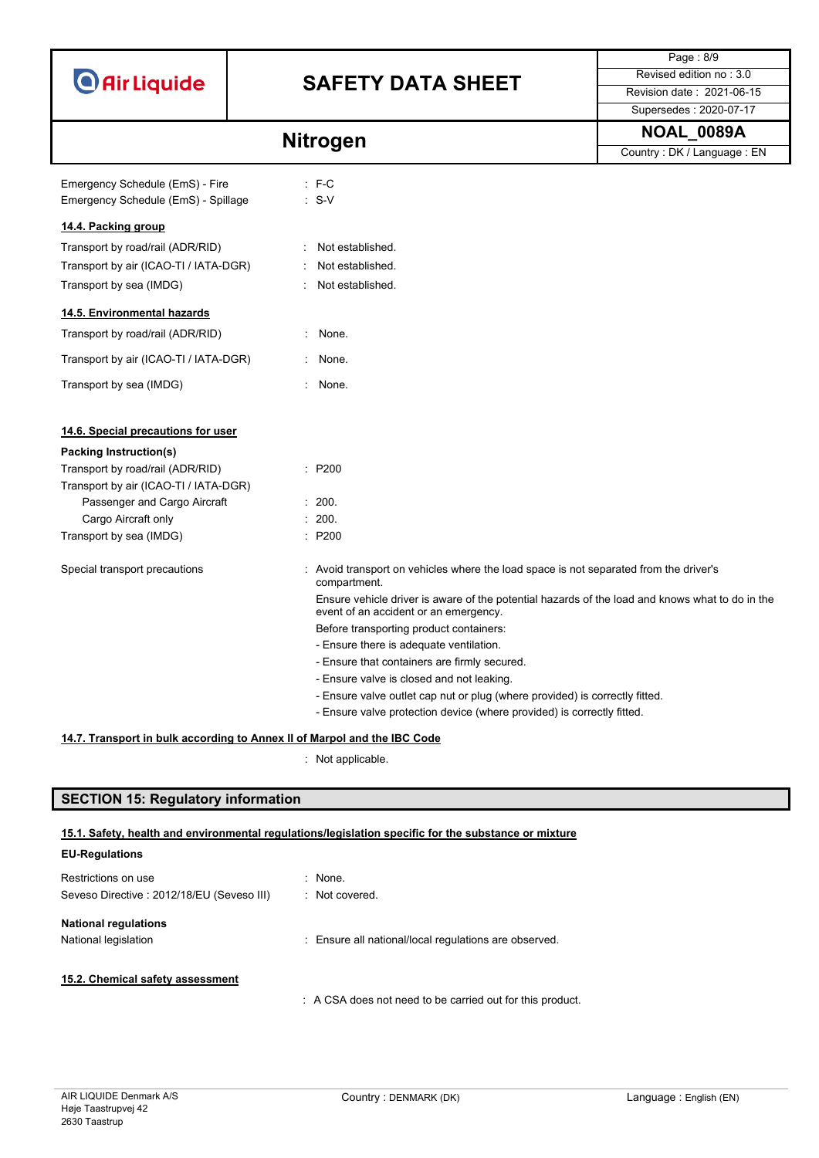|                                       |                                                                                                                                          | Page: 8/9                  |
|---------------------------------------|------------------------------------------------------------------------------------------------------------------------------------------|----------------------------|
| O Air Liquide                         | <b>SAFETY DATA SHEET</b>                                                                                                                 | Revised edition no: 3.0    |
|                                       |                                                                                                                                          | Revision date: 2021-06-15  |
|                                       |                                                                                                                                          | Supersedes: 2020-07-17     |
|                                       | <b>Nitrogen</b>                                                                                                                          | <b>NOAL_0089A</b>          |
|                                       |                                                                                                                                          | Country: DK / Language: EN |
| Emergency Schedule (EmS) - Fire       | $:$ F-C                                                                                                                                  |                            |
| Emergency Schedule (EmS) - Spillage   | $: S-V$                                                                                                                                  |                            |
|                                       |                                                                                                                                          |                            |
| 14.4. Packing group                   |                                                                                                                                          |                            |
| Transport by road/rail (ADR/RID)      | Not established.                                                                                                                         |                            |
| Transport by air (ICAO-TI / IATA-DGR) | Not established.                                                                                                                         |                            |
| Transport by sea (IMDG)               | Not established.                                                                                                                         |                            |
| 14.5. Environmental hazards           |                                                                                                                                          |                            |
| Transport by road/rail (ADR/RID)      | None.<br>÷.                                                                                                                              |                            |
| Transport by air (ICAO-TI / IATA-DGR) | None.                                                                                                                                    |                            |
| Transport by sea (IMDG)               | None.                                                                                                                                    |                            |
|                                       |                                                                                                                                          |                            |
| 14.6. Special precautions for user    |                                                                                                                                          |                            |
| Packing Instruction(s)                |                                                                                                                                          |                            |
| Transport by road/rail (ADR/RID)      | : P200                                                                                                                                   |                            |
| Transport by air (ICAO-TI / IATA-DGR) |                                                                                                                                          |                            |
| Passenger and Cargo Aircraft          | : 200.                                                                                                                                   |                            |
| Cargo Aircraft only                   | : 200.                                                                                                                                   |                            |
| Transport by sea (IMDG)               | P200                                                                                                                                     |                            |
| Special transport precautions         | : Avoid transport on vehicles where the load space is not separated from the driver's<br>compartment.                                    |                            |
|                                       | Ensure vehicle driver is aware of the potential hazards of the load and knows what to do in the<br>event of an accident or an emergency. |                            |
|                                       | Before transporting product containers:                                                                                                  |                            |
|                                       | - Ensure there is adequate ventilation.                                                                                                  |                            |
|                                       | - Ensure that containers are firmly secured.                                                                                             |                            |
|                                       | - Ensure valve is closed and not leaking.                                                                                                |                            |
|                                       | - Ensure valve outlet cap nut or plug (where provided) is correctly fitted.                                                              |                            |
|                                       | - Ensure valve protection device (where provided) is correctly fitted.                                                                   |                            |
|                                       | 14.7. Transport in bulk according to Annex II of Marpol and the IBC Code                                                                 |                            |

: Not applicable.

## **SECTION 15: Regulatory information**

### **15.1. Safety, health and environmental regulations/legislation specific for the substance or mixture**

| <b>EU-Regulations</b>                      |                                                           |
|--------------------------------------------|-----------------------------------------------------------|
| Restrictions on use                        | $\therefore$ None.                                        |
| Seveso Directive : 2012/18/EU (Seveso III) | : Not covered.                                            |
| <b>National regulations</b>                |                                                           |
| National legislation                       | : Ensure all national/local regulations are observed.     |
|                                            |                                                           |
| 15.2. Chemical safety assessment           |                                                           |
|                                            | : A CSA does not need to be carried out for this product. |